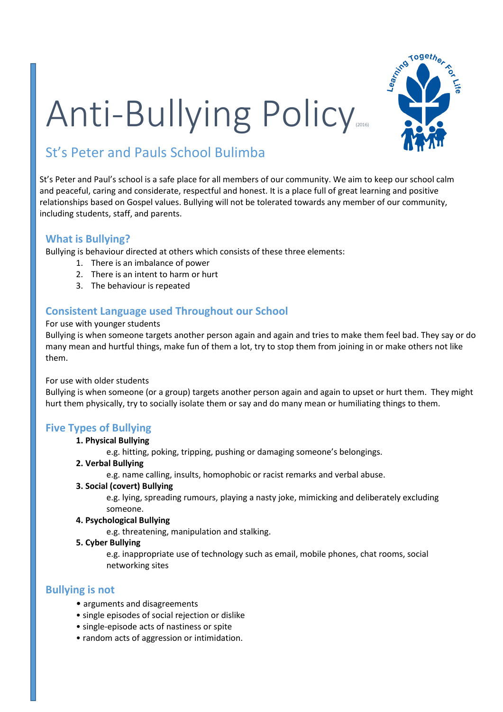# Anti-Bullying Policy



### St's Peter and Pauls School Bulimba

St's Peter and Paul's school is a safe place for all members of our community. We aim to keep our school calm and peaceful, caring and considerate, respectful and honest. It is a place full of great learning and positive relationships based on Gospel values. Bullying will not be tolerated towards any member of our community, including students, staff, and parents.

#### **What is Bullying?**

Bullying is behaviour directed at others which consists of these three elements:

- 1. There is an imbalance of power
- 2. There is an intent to harm or hurt
- 3. The behaviour is repeated

#### **Consistent Language used Throughout our School**

#### For use with younger students

Bullying is when someone targets another person again and again and tries to make them feel bad. They say or do many mean and hurtful things, make fun of them a lot, try to stop them from joining in or make others not like them.

#### For use with older students

Bullying is when someone (or a group) targets another person again and again to upset or hurt them. They might hurt them physically, try to socially isolate them or say and do many mean or humiliating things to them.

#### **Five Types of Bullying**

#### **1. Physical Bullying**

e.g. hitting, poking, tripping, pushing or damaging someone's belongings.

#### **2. Verbal Bullying**

e.g. name calling, insults, homophobic or racist remarks and verbal abuse.

#### **3. Social (covert) Bullying**

e.g. lying, spreading rumours, playing a nasty joke, mimicking and deliberately excluding someone.

#### **4. Psychological Bullying**

e.g. threatening, manipulation and stalking.

#### **5. Cyber Bullying**

e.g. inappropriate use of technology such as email, mobile phones, chat rooms, social networking sites

#### **Bullying is not**

- arguments and disagreements
- single episodes of social rejection or dislike
- single-episode acts of nastiness or spite
- random acts of aggression or intimidation.